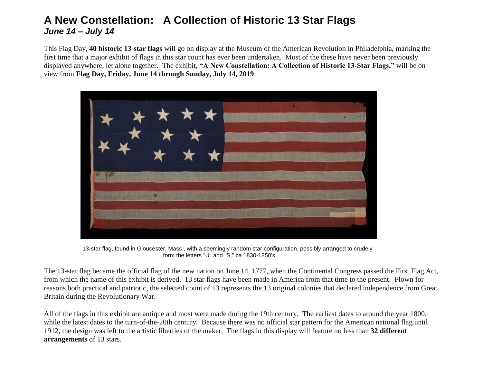### **A New Constellation: A Collection of Historic 13 Star Flags** *June 14 – July 14*

This Flag Day, **40 historic 13-star flags** will go on display at the Museum of the American Revolution in Philadelphia, marking the first time that a major exhibit of flags in this star count has ever been undertaken. Most of the these have never been previously displayed anywhere, let alone together. The exhibit, **"A New Constellation: A Collection of Historic 13-Star Flags,"** will be on view from **Flag Day, Friday, June 14 through Sunday, July 14, 2019**



 13-star flag, found in Gloucester, Mass., with a seemingly random star configuration, possibly arranged to crudely form the letters "U" and "S," ca 1830-1850's.

The 13-star flag became the official flag of the new nation on June 14, 1777, when the Continental Congress passed the First Flag Act, from which the name of this exhibit is derived. 13 star flags have been made in America from that time to the present. Flown for reasons both practical and patriotic, the selected count of 13 represents the 13 original colonies that declared independence from Great Britain during the Revolutionary War.

All of the flags in this exhibit are antique and most were made during the 19th century. The earliest dates to around the year 1800, while the latest dates to the turn-of-the-20th century. Because there was no official star pattern for the American national flag until 1912, the design was left to the artistic liberties of the maker. The flags in this display will feature no less than **32 different arrangements** of 13 stars.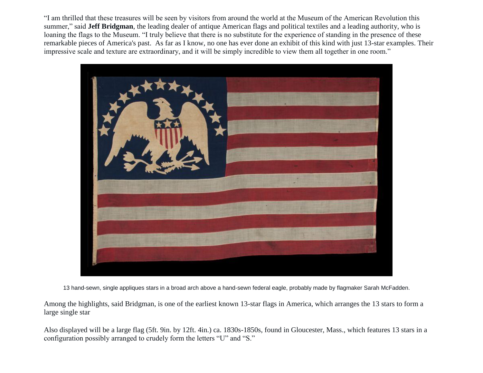"I am thrilled that these treasures will be seen by visitors from around the world at the Museum of the American Revolution this summer," said **Jeff Bridgman**, the leading dealer of antique American flags and political textiles and a leading authority, who is loaning the flags to the Museum. "I truly believe that there is no substitute for the experience of standing in the presence of these remarkable pieces of America's past. As far as I know, no one has ever done an exhibit of this kind with just 13-star examples. Their impressive scale and texture are extraordinary, and it will be simply incredible to view them all together in one room."



13 hand-sewn, single appliques stars in a broad arch above a hand-sewn federal eagle, probably made by flagmaker Sarah McFadden.

Among the highlights, said Bridgman, is one of the earliest known 13-star flags in America, which arranges the 13 stars to form a large single star

Also displayed will be a large flag (5ft. 9in. by 12ft. 4in.) ca. 1830s-1850s, found in Gloucester, Mass., which features 13 stars in a configuration possibly arranged to crudely form the letters "U" and "S."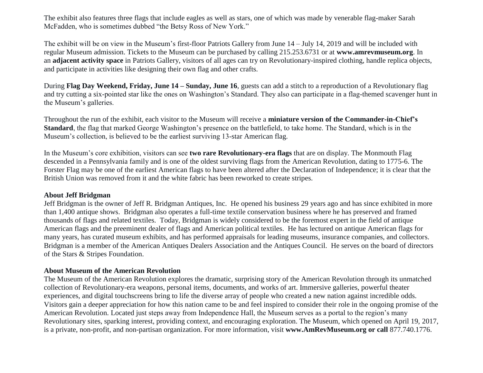The exhibit also features three flags that include eagles as well as stars, one of which was made by venerable flag-maker Sarah McFadden, who is sometimes dubbed "the Betsy Ross of New York."

The exhibit will be on view in the Museum's first-floor Patriots Gallery from June 14 – July 14, 2019 and will be included with regular Museum admission. Tickets to the Museum can be purchased by calling 215.253.6731 or at **[www.amrevmuseum.org](http://www.amrevmuseum.org/)**. In an **adjacent activity space** in Patriots Gallery, visitors of all ages can try on Revolutionary-inspired clothing, handle replica objects, and participate in activities like designing their own flag and other crafts.

During **Flag Day Weekend, Friday, June 14 – Sunday, June 16**, guests can add a stitch to a reproduction of a Revolutionary flag and try cutting a six-pointed star like the ones on Washington's Standard. They also can participate in a flag-themed scavenger hunt in the Museum's galleries.

Throughout the run of the exhibit, each visitor to the Museum will receive a **miniature version of the Commander-in-Chief's Standard**, the flag that marked George Washington's presence on the battlefield, to take home. The Standard, which is in the Museum's collection, is believed to be the earliest surviving 13-star American flag.

In the Museum's core exhibition, visitors can see **two rare Revolutionary-era flags** that are on display. The Monmouth Flag descended in a Pennsylvania family and is one of the oldest surviving flags from the American Revolution, dating to 1775-6. The Forster Flag may be one of the earliest American flags to have been altered after the Declaration of Independence; it is clear that the British Union was removed from it and the white fabric has been reworked to create stripes.

### **About Jeff Bridgman**

Jeff Bridgman is the owner of Jeff R. Bridgman Antiques, Inc. He opened his business 29 years ago and has since exhibited in more than 1,400 antique shows. Bridgman also operates a full-time textile conservation business where he has preserved and framed thousands of flags and related textiles. Today, Bridgman is widely considered to be the foremost expert in the field of antique American flags and the preeminent dealer of flags and American political textiles. He has lectured on antique American flags for many years, has curated museum exhibits, and has performed appraisals for leading museums, insurance companies, and collectors. Bridgman is a member of the American Antiques Dealers Association and the Antiques Council. He serves on the board of directors of the Stars & Stripes Foundation.

### **About Museum of the American Revolution**

The Museum of the American Revolution explores the dramatic, surprising story of the American Revolution through its unmatched collection of Revolutionary-era weapons, personal items, documents, and works of art. Immersive galleries, powerful theater experiences, and digital touchscreens bring to life the diverse array of people who created a new nation against incredible odds. Visitors gain a deeper appreciation for how this nation came to be and feel inspired to consider their role in the ongoing promise of the American Revolution. Located just steps away from Independence Hall, the Museum serves as a portal to the region's many Revolutionary sites, sparking interest, providing context, and encouraging exploration. The Museum, which opened on April 19, 2017, is a private, non-profit, and non-partisan organization. For more information, visit **www.AmRevMuseum.org or call** 877.740.1776.